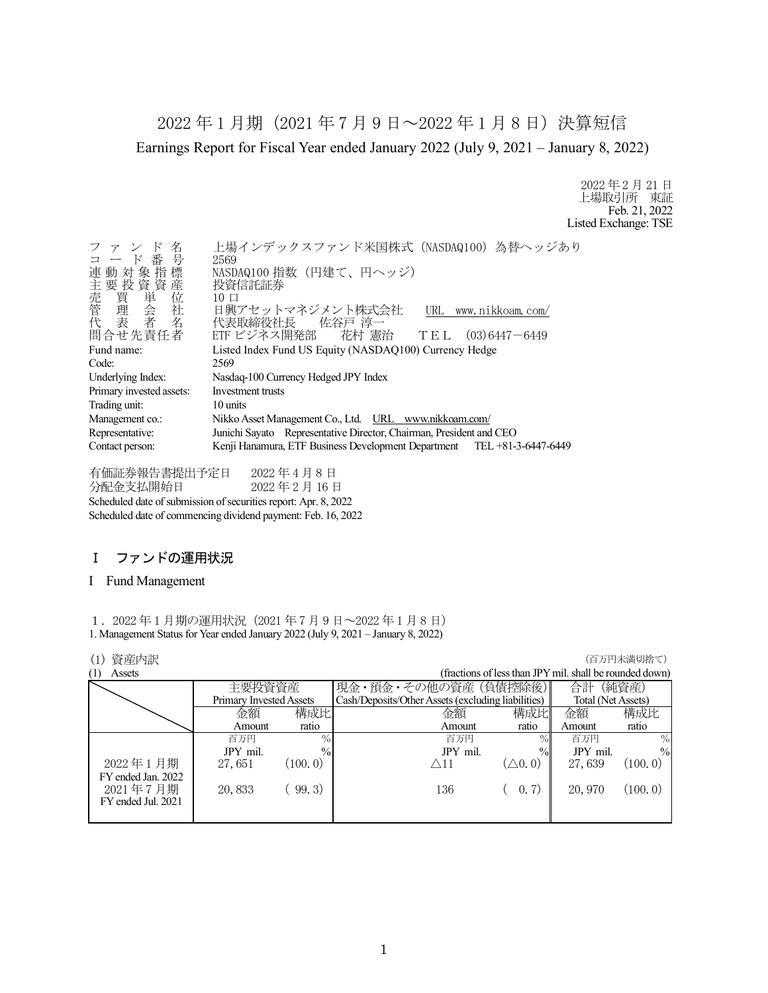2022 年 1 月期(2021 年 7 月 9 日~2022 年 1 月 8 日)決算短信 Earnings Report for Fiscal Year ended January 2022 (July 9, 2021 – January 8, 2022)

> 2022 年 2 月 21 日 上場取引所 東証 Feb. 21, 2022 Listed Exchange: TSE

| ファンド名<br>コード番号                                                                         | 上場インデックスファンド米国株式 (NASDAQ100) 為替ヘッジあり<br>2569                            |  |  |
|----------------------------------------------------------------------------------------|-------------------------------------------------------------------------|--|--|
| 連動対象指標<br>主要投資資産                                                                       | NASDAQ100 指数 (円建て、円ヘッジ)<br>投資信託証券                                       |  |  |
| +売管理表<br>管理表<br>代表<br>代表                                                               | $10 \Box$<br>日興アセットマネジメント株式会社<br>URL www.nikkoam.com/<br>代表取締役社長 佐谷戸 淳一 |  |  |
| 問合せ先責任者                                                                                | ETF ビジネス開発部 花村 憲治 TEL (03)6447-6449                                     |  |  |
| Fund name:                                                                             | Listed Index Fund US Equity (NASDAQ100) Currency Hedge                  |  |  |
| Code:                                                                                  | 2569                                                                    |  |  |
| Underlying Index:                                                                      | Nasdaq-100 Currency Hedged JPY Index                                    |  |  |
| Primary invested assets:                                                               | Investment trusts                                                       |  |  |
| Trading unit:                                                                          | 10 units                                                                |  |  |
| Management co.:                                                                        | Nikko Asset Management Co., Ltd. URL www.nikkoam.com/                   |  |  |
| Junichi Sayato Representative Director, Chairman, President and CEO<br>Representative: |                                                                         |  |  |
| Contact person:                                                                        | Kenji Hanamura, ETF Business Development Department TEL +81-3-6447-6449 |  |  |

有価証券報告書提出予定日 2022 年 4 月 8 日 分配金支払開始日 2022 年 2 月 16 日 Scheduled date of submission of securities report: Apr. 8, 2022 Scheduled date of commencing dividend payment: Feb. 16, 2022

## Ⅰ ファンドの運用状況

### I Fund Management

1.2022 年 1 月期の運用状況(2021 年 7 月 9 日~2022 年 1 月 8 日) 1. Management Status for Year ended January 2022 (July 9, 2021 – January 8, 2022)

### **(1) 資産内訳 インフィング インフィング (1) する (1) する (1) する (1) する (1) する (1) する (1) する (1) する (**

| (1)<br>Assets      |                         |               |                                                    |                   | (fractions of less than JPY mil. shall be rounded down) |               |
|--------------------|-------------------------|---------------|----------------------------------------------------|-------------------|---------------------------------------------------------|---------------|
|                    | 主要投資資産                  |               | 現金・預金・その他の資産 (負債控除後)                               |                   | 合計                                                      | (純資産)         |
|                    | Primary Invested Assets |               | Cash/Deposits/Other Assets (excluding liabilities) |                   | Total (Net Assets)                                      |               |
|                    | 金額                      |               | 金額                                                 | 構成比               | 金額                                                      | 構成比           |
|                    | Amount                  | ratio         | Amount                                             | ratio             | Amount                                                  | ratio         |
|                    | 百万円                     | $\%$          | 百万円                                                | $\%$              | 百万円                                                     | $\%$          |
|                    | JPY mil.                | $\frac{0}{0}$ | JPY mil.                                           | $\%$              | JPY mil.                                                | $\frac{0}{0}$ |
| 2022年1月期           | 27,651                  | (100, 0)      | $\triangle$ 11                                     | $(\triangle 0.0)$ | 27,639                                                  | (100.0)       |
| FY ended Jan. 2022 |                         |               |                                                    |                   |                                                         |               |
| 2021年7月期           | 20,833                  | 99.3)         | 136                                                | (0, 7)            | 20, 970                                                 | (100.0)       |
| FY ended Jul. 2021 |                         |               |                                                    |                   |                                                         |               |
|                    |                         |               |                                                    |                   |                                                         |               |
|                    |                         | 構成比           |                                                    |                   |                                                         |               |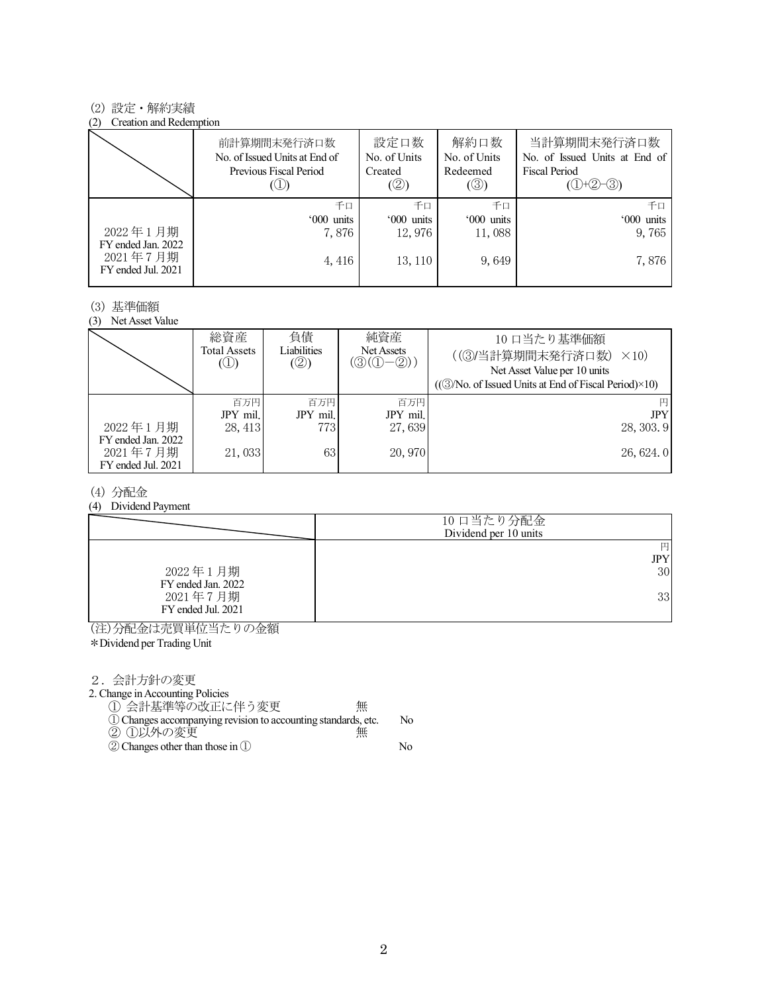### (2) 設定・解約実績

#### (2) Creation and Redemption

|                                                      | 前計算期間末発行済口数<br>No. of Issued Units at End of<br>Previous Fiscal Period | 設定口数<br>No. of Units<br>Created<br>(②) | 解約口数<br>No. of Units<br>Redeemed<br>$(\circledS)$ | 当計算期間末発行済口数<br>No. of Issued Units at End of<br>Fiscal Period<br>$(①+②-③)$ |
|------------------------------------------------------|------------------------------------------------------------------------|----------------------------------------|---------------------------------------------------|----------------------------------------------------------------------------|
|                                                      | 千口                                                                     | 千口                                     | 千口                                                | 千口                                                                         |
|                                                      | '000 units                                                             | '000 units                             | '000 units                                        | '000 units                                                                 |
| 2022年1月期                                             | 7,876                                                                  | 12,976                                 | 11,088                                            | 9,765                                                                      |
| FY ended Jan. 2022<br>2021年7月期<br>FY ended Jul. 2021 | 4, 416                                                                 | 13, 110                                | 9,649                                             | 7,876                                                                      |

### (3) 基準価額

(3) Net Asset Value

|                                                      | 総資産<br>Total Assets<br>$\circledcirc$ | 負債<br>Liabilities<br>(②) | 純資産<br>Net Assets<br>$(\textcircled{3}(\textcircled{1}-\textcircled{2}))$ | 10 口当たり基準価額<br>((3)当計算期間末発行済口数)<br>$\times$ 10)<br>Net Asset Value per 10 units<br>$((\textcircled{3}/No. of Issued Units at End of Fiscal Period)\times10)$ |
|------------------------------------------------------|---------------------------------------|--------------------------|---------------------------------------------------------------------------|--------------------------------------------------------------------------------------------------------------------------------------------------------------|
|                                                      | 百万円                                   | 百万円                      | 百万円                                                                       |                                                                                                                                                              |
|                                                      | JPY mil.                              | JPY mil.                 | JPY mil.                                                                  | <b>JPY</b>                                                                                                                                                   |
| 2022年1月期                                             | 28, 413                               | 773                      | 27,639                                                                    | 28, 303.9                                                                                                                                                    |
| FY ended Jan. 2022<br>2021年7月期<br>FY ended Jul. 2021 | 21,033                                | 63                       | 20,970                                                                    | 26, 624.0                                                                                                                                                    |

### (4) 分配金

(4) Dividend Payment

|                                | 10 口当たり分配金<br>Dividend per 10 units |
|--------------------------------|-------------------------------------|
|                                | 円                                   |
|                                | <b>JPY</b>                          |
| 2022年1月期<br>FY ended Jan. 2022 | 30                                  |
| 2021年7月期<br>FY ended Jul. 2021 | 33                                  |

(注)分配金は売買単位当たりの金額

\*Dividend per Trading Unit

2.会計方針の変更

2. Change in Accounting Policies

① 会計基準等の改正に伴う変更 無 ①Changes accompanying revision to accounting standards, etc. No

- ② ①以外の変更 無
- ②Changes other than those in ① No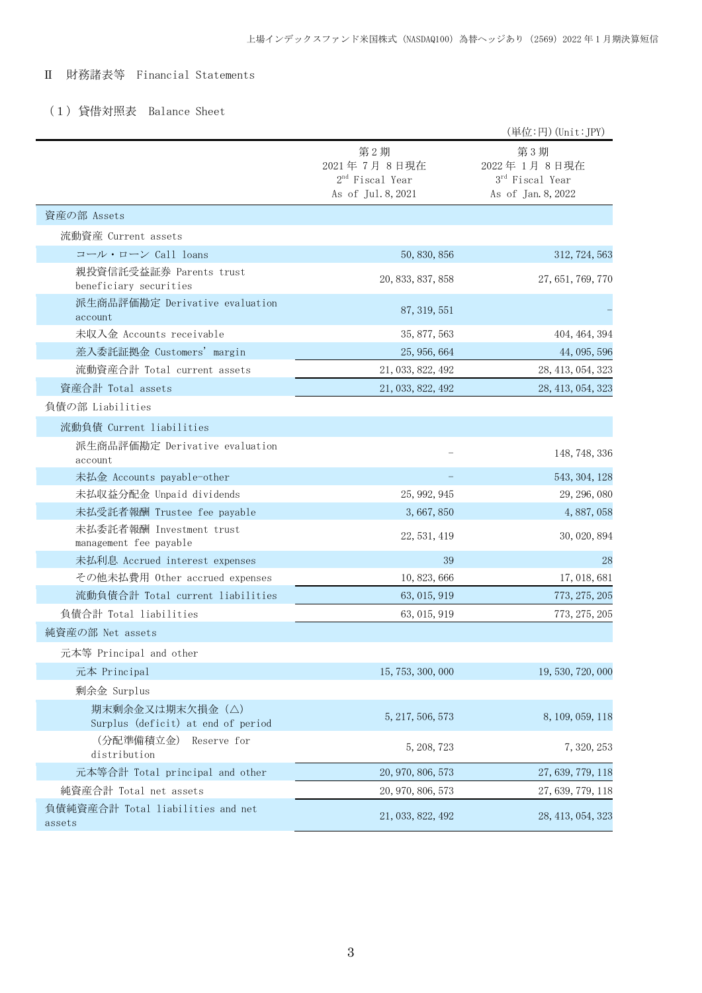## Ⅱ 財務諸表等 Financial Statements

## (1)貸借対照表 Balance Sheet

|                                                        |                                                               | (単位:円) (Unit:JPY)                                           |
|--------------------------------------------------------|---------------------------------------------------------------|-------------------------------------------------------------|
|                                                        | 第2期<br>2021年7月8日現在<br>$2nd$ Fiscal Year<br>As of Jul. 8, 2021 | 第3期<br>2022年1月8日現在<br>3rd Fiscal Year<br>As of Jan. 8, 2022 |
| 資産の部 Assets                                            |                                                               |                                                             |
| 流動資産 Current assets                                    |                                                               |                                                             |
| コール・ローン Call loans                                     | 50, 830, 856                                                  | 312, 724, 563                                               |
| 親投資信託受益証券 Parents trust<br>beneficiary securities      | 20, 833, 837, 858                                             | 27, 651, 769, 770                                           |
| 派生商品評価勘定 Derivative evaluation<br>account              | 87, 319, 551                                                  |                                                             |
| 未収入金 Accounts receivable                               | 35, 877, 563                                                  | 404, 464, 394                                               |
| 差入委託証拠金 Customers' margin                              | 25, 956, 664                                                  | 44, 095, 596                                                |
| 流動資産合計 Total current assets                            | 21, 033, 822, 492                                             | 28, 413, 054, 323                                           |
| 資産合計 Total assets                                      | 21, 033, 822, 492                                             | 28, 413, 054, 323                                           |
| 負債の部 Liabilities                                       |                                                               |                                                             |
| 流動負債 Current liabilities                               |                                                               |                                                             |
| 派生商品評価勘定 Derivative evaluation<br>account              |                                                               | 148, 748, 336                                               |
| 未払金 Accounts payable-other                             |                                                               | 543, 304, 128                                               |
| 未払収益分配金 Unpaid dividends                               | 25, 992, 945                                                  | 29, 296, 080                                                |
| 未払受託者報酬 Trustee fee payable                            | 3,667,850                                                     | 4, 887, 058                                                 |
| 未払委託者報酬 Investment trust<br>management fee payable     | 22, 531, 419                                                  | 30, 020, 894                                                |
| 未払利息 Accrued interest expenses                         | 39                                                            | 28                                                          |
| その他未払費用 Other accrued expenses                         | 10, 823, 666                                                  | 17, 018, 681                                                |
| 流動負債合計 Total current liabilities                       | 63, 015, 919                                                  | 773, 275, 205                                               |
| 負債合計 Total liabilities                                 | 63, 015, 919                                                  | 773, 275, 205                                               |
| 純資産の部 Net assets                                       |                                                               |                                                             |
| 元本等 Principal and other                                |                                                               |                                                             |
| 元本 Principal                                           | 15, 753, 300, 000                                             | 19, 530, 720, 000                                           |
| 剰余金 Surplus                                            |                                                               |                                                             |
| 期末剰余金又は期末欠損金 (△)<br>Surplus (deficit) at end of period | 5, 217, 506, 573                                              | 8, 109, 059, 118                                            |
| (分配準備積立金)<br>Reserve for<br>distribution               | 5, 208, 723                                                   | 7, 320, 253                                                 |
| 元本等合計 Total principal and other                        | 20, 970, 806, 573                                             | 27, 639, 779, 118                                           |
| 純資産合計 Total net assets                                 | 20, 970, 806, 573                                             | 27, 639, 779, 118                                           |
| 負債純資産合計 Total liabilities and net<br>assets            | 21, 033, 822, 492                                             | 28, 413, 054, 323                                           |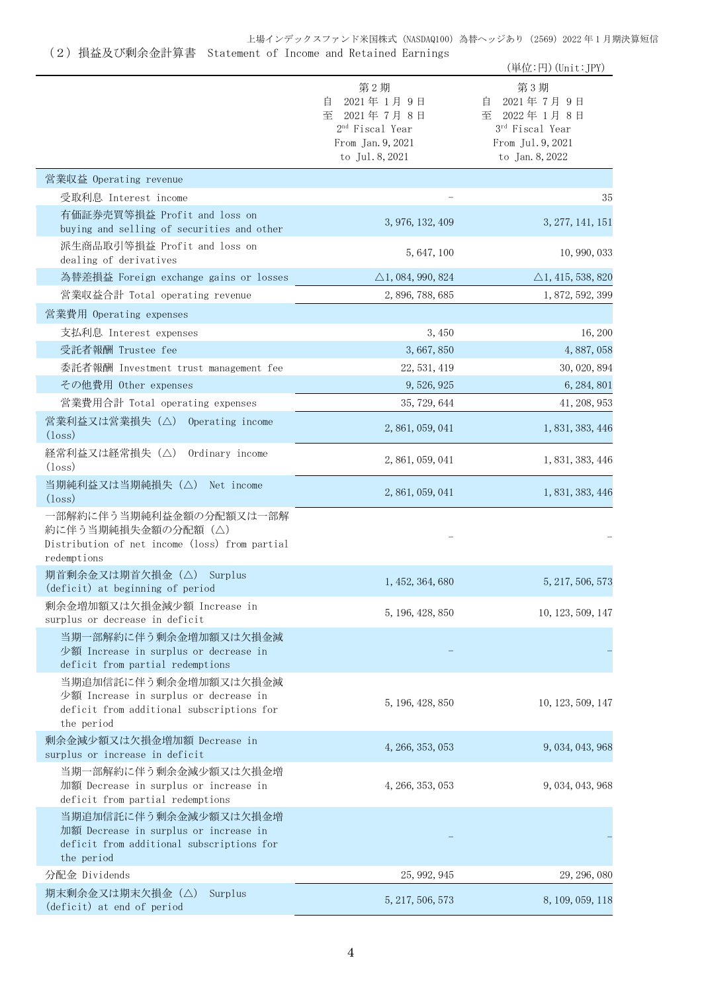#### 上場インデックスファンド米国株式 (NASDAQ100) 為替ヘッジあり (2569) 2022 年 1 月期決算短信 (2)損益及び剰余金計算書 Statement of Income and Retained Earnings

|                                                                                                                           |                                                                                                                | (単位:円) (Unit:JPY)                                                                                  |
|---------------------------------------------------------------------------------------------------------------------------|----------------------------------------------------------------------------------------------------------------|----------------------------------------------------------------------------------------------------|
|                                                                                                                           | 第2期<br>2021年1月9日<br>目<br>至<br>2021年7月8日<br>2 <sup>nd</sup> Fiscal Year<br>From Jan. 9, 2021<br>to Jul. 8, 2021 | 第3期<br>2021年7月9日<br>目<br>至<br>2022年1月8日<br>3rd Fiscal Year<br>From Jul. 9, 2021<br>to Jan. 8, 2022 |
| 営業収益 Operating revenue                                                                                                    |                                                                                                                |                                                                                                    |
| 受取利息 Interest income                                                                                                      |                                                                                                                | 35                                                                                                 |
| 有価証券売買等損益 Profit and loss on<br>buying and selling of securities and other                                                | 3, 976, 132, 409                                                                                               | 3, 277, 141, 151                                                                                   |
| 派生商品取引等損益 Profit and loss on<br>dealing of derivatives                                                                    | 5, 647, 100                                                                                                    | 10, 990, 033                                                                                       |
| 為替差損益 Foreign exchange gains or losses                                                                                    | $\triangle$ 1, 084, 990, 824                                                                                   | $\triangle$ 1, 415, 538, 820                                                                       |
| 営業収益合計 Total operating revenue                                                                                            | 2, 896, 788, 685                                                                                               | 1, 872, 592, 399                                                                                   |
| 営業費用 Operating expenses                                                                                                   |                                                                                                                |                                                                                                    |
| 支払利息 Interest expenses                                                                                                    | 3,450                                                                                                          | 16, 200                                                                                            |
| 受託者報酬 Trustee fee                                                                                                         | 3,667,850                                                                                                      | 4,887,058                                                                                          |
| 委託者報酬 Investment trust management fee                                                                                     | 22, 531, 419                                                                                                   | 30, 020, 894                                                                                       |
| その他費用 Other expenses                                                                                                      | 9, 526, 925                                                                                                    | 6, 284, 801                                                                                        |
| 営業費用合計 Total operating expenses                                                                                           | 35, 729, 644                                                                                                   | 41, 208, 953                                                                                       |
| 営業利益又は営業損失(△) Operating income<br>$(\text{loss})$                                                                         | 2, 861, 059, 041                                                                                               | 1, 831, 383, 446                                                                                   |
| 経常利益又は経常損失(△)<br>Ordinary income<br>$(\text{loss})$                                                                       | 2, 861, 059, 041                                                                                               | 1, 831, 383, 446                                                                                   |
| 当期純利益又は当期純損失(△)<br>Net income<br>$(\text{loss})$                                                                          | 2, 861, 059, 041                                                                                               | 1, 831, 383, 446                                                                                   |
| 一部解約に伴う当期純利益金額の分配額又は一部解<br>約に伴う当期純損失金額の分配額 (△)<br>Distribution of net income (loss) from partial<br>redemptions           |                                                                                                                |                                                                                                    |
| 期首剰余金又は期首欠損金 (△) Surplus<br>(deficit) at beginning of period                                                              | 1, 452, 364, 680                                                                                               | 5, 217, 506, 573                                                                                   |
| 剰余金増加額又は欠損金減少額 Increase in<br>surplus or decrease in deficit                                                              | 5, 196, 428, 850                                                                                               | 10, 123, 509, 147                                                                                  |
| 当期一部解約に伴う剰余金増加額又は欠損金減<br>少額 Increase in surplus or decrease in<br>deficit from partial redemptions                        |                                                                                                                |                                                                                                    |
| 当期追加信託に伴う剰余金増加額又は欠損金減<br>少額 Increase in surplus or decrease in<br>deficit from additional subscriptions for<br>the period | 5, 196, 428, 850                                                                                               | 10, 123, 509, 147                                                                                  |
| 剰余金減少額又は欠損金増加額 Decrease in<br>surplus or increase in deficit                                                              | 4, 266, 353, 053                                                                                               | 9, 034, 043, 968                                                                                   |
| 当期一部解約に伴う剰余金減少額又は欠損金増<br>加額 Decrease in surplus or increase in<br>deficit from partial redemptions                        | 4, 266, 353, 053                                                                                               | 9, 034, 043, 968                                                                                   |
| 当期追加信託に伴う剰余金減少額又は欠損金増<br>加額 Decrease in surplus or increase in<br>deficit from additional subscriptions for<br>the period |                                                                                                                |                                                                                                    |
| 分配金 Dividends                                                                                                             | 25, 992, 945                                                                                                   | 29, 296, 080                                                                                       |

期末剰余金又は期末欠損金(△) Surplus 别木剌宗金乂は别木久損金(△) Surplus<br>(deficit) at end of period 5,217,506,573 8,109,059,118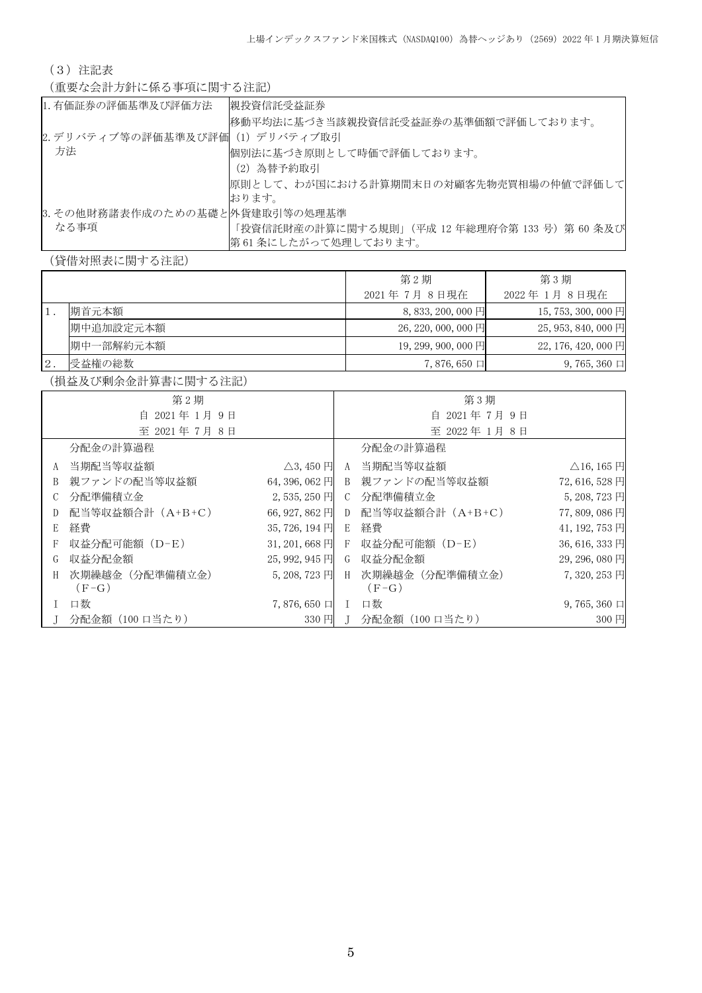(3)注記表

(重要な会計方針に係る事項に関する注記)

| 1. 有価証券の評価基準及び評価方法             | 親投資信託受益証券                                       |
|--------------------------------|-------------------------------------------------|
|                                | 移動平均法に基づき当該親投資信託受益証券の基準価額で評価しております。             |
| 2.デリバティブ等の評価基準及び評価(1)デリバティブ取引  |                                                 |
| 方法                             | 個別法に基づき原則として時価で評価しております。                        |
|                                | (2) 為替予約取引                                      |
|                                | 原則として、わが国における計算期間末日の対顧客先物売買相場の仲値で評価して           |
|                                | おります。                                           |
| 3. その他財務諸表作成のための基礎と外貨建取引等の処理基準 |                                                 |
| なる事項                           | 「投資信託財産の計算に関する規則」 (平成 12 年総理府令第 133 号) 第 60 条及び |
|                                | 第61条にしたがって処理しております。                             |

(貸借対照表に関する注記)

|       |           | 第2期                   | 第3期                 |
|-------|-----------|-----------------------|---------------------|
|       |           | 2021年7月8日現在           | 2022 年 1月 8日現在      |
|       | 期首元本額     | $8,833,200,000$ 円     | 15, 753, 300, 000 円 |
|       | 期中追加設定元本額 | $26, 220, 000, 000$ 円 | $25,953,840,000$ 円  |
|       | 期中一部解約元本額 | $19,299,900,000$ 円    | 22, 176, 420, 000 円 |
| $2$ . | 受益権の総数    | $7,876,650 \Box$      | $9,765,360 \Box$    |

(損益及び剰余金計算書に関する注記)

|              | 第2期                       |                           |  | 第3期                               |                                    |
|--------------|---------------------------|---------------------------|--|-----------------------------------|------------------------------------|
| 自 2021年1月9日  |                           | 自 2021年7月9日               |  |                                   |                                    |
|              | 至 2021年7月8日               |                           |  | 至 2022年1月8日                       |                                    |
|              | 分配金の計算過程                  |                           |  | 分配金の計算過程                          |                                    |
|              | A 当期配当等収益額                | $\triangle$ 3, 450 $\Box$ |  | A 当期配当等収益額                        | $\triangle$ 16, 165 $\overline{H}$ |
| B            | 親ファンドの配当等収益額              | 64, 396, 062 円            |  | B 親ファンドの配当等収益額                    | 72,616,528円                        |
| C            | 分配準備積立金                   | 2,535,250円                |  | C 分配準備積立金                         | 5, 208, 723 円                      |
| D            | 配当等収益額合計(A+B+C)           |                           |  | 66, 927, 862 円 D 配当等収益額合計 (A+B+C) | 77,809,086円                        |
| E            | 経費                        | 35, 726, 194 円            |  | E 経費                              | 41, 192, 753 円                     |
| $\mathbf{F}$ | 収益分配可能額(D-E)              |                           |  | 31, 201, 668 円 F 収益分配可能額 (D-E)    | 36, 616, 333 円                     |
| G            | 収益分配金額                    | $25,992,945$ 円            |  | G 収益分配金額                          | 29, 296, 080 円                     |
| H            | 次期繰越金(分配準備積立金)<br>$(F-G)$ | $5,208,723$ 円             |  | H 次期繰越金 (分配準備積立金)<br>$(F-G)$      | 7,320,253 円                        |
|              | 口数                        | $7,876,650 \Box$ I        |  | 口数                                | $9,765,360 \Box$                   |
|              | 分配金額(100 口当たり)            | 330 円 I                   |  | 分配金額(100 口当たり)                    | 300円                               |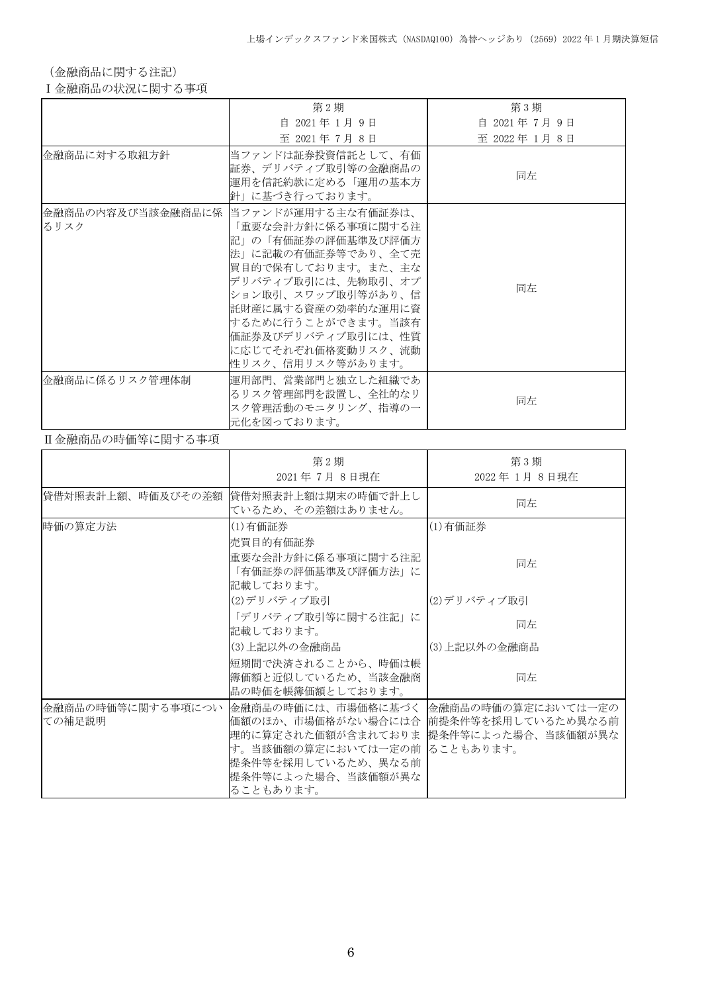(金融商品に関する注記)

Ⅰ金融商品の状況に関する事項

|                | 第2期                                                                                                                                                                                                                                                                                     | 第3期         |
|----------------|-----------------------------------------------------------------------------------------------------------------------------------------------------------------------------------------------------------------------------------------------------------------------------------------|-------------|
|                | 自 2021年1月9日                                                                                                                                                                                                                                                                             | 自 2021年7月9日 |
|                | 至 2021年7月8日                                                                                                                                                                                                                                                                             | 至 2022年1月8日 |
| 金融商品に対する取組方針   | 当ファンドは証券投資信託として、有価<br>証券、デリバティブ取引等の金融商品の<br>運用を信託約款に定める「運用の基本方<br>針」に基づき行っております。                                                                                                                                                                                                        | 同左          |
| るリスク           | 金融商品の内容及び当該金融商品に係  当ファンドが運用する主な有価証券は、<br>「重要な会計方針に係る事項に関する注<br>記」の「有価証券の評価基準及び評価方<br>法」に記載の有価証券等であり、全て売<br>買目的で保有しております。また、主な<br>デリバティブ取引には、先物取引、オプ<br>ション取引、スワップ取引等があり、信<br>託財産に属する資産の効率的な運用に資<br> するために行うことができます。当該有<br>価証券及びデリバティブ取引には、性質<br>に応じてそれぞれ価格変動リスク、流動<br>性リスク、信用リスク等があります。 | 同左          |
| 金融商品に係るリスク管理体制 | 運用部門、営業部門と独立した組織であ<br>るリスク管理部門を設置し、全社的なリ<br>スク管理活動のモニタリング、指導の一<br>元化を図っております。                                                                                                                                                                                                           | 同左          |

### Ⅱ金融商品の時価等に関する事項

|                             | 第2期<br>2021年7月8日現在                                                                                                                              | 第3期<br>2022年1月8日現在                                                             |
|-----------------------------|-------------------------------------------------------------------------------------------------------------------------------------------------|--------------------------------------------------------------------------------|
|                             | 貸借対照表計上額、時価及びその差額   貸借対照表計上額は期末の時価で計上し<br>ているため、その差額はありません。                                                                                     | 同左                                                                             |
| 時価の算定方法                     | (1)有価証券<br>売買目的有価証券                                                                                                                             | (1)有価証券                                                                        |
|                             | 重要な会計方針に係る事項に関する注記<br>「有価証券の評価基準及び評価方法」に<br>記載しております。                                                                                           | 同左                                                                             |
|                             | (2)デリバティブ取引                                                                                                                                     | (2)デリバティブ取引                                                                    |
|                             | 「デリバティブ取引等に関する注記」に<br>記載しております。                                                                                                                 | 同左                                                                             |
|                             | (3)上記以外の金融商品                                                                                                                                    | (3)上記以外の金融商品                                                                   |
|                             | 短期間で決済されることから、時価は帳<br> 簿価額と近似しているため、当該金融商 <br>品の時価を帳簿価額としております。                                                                                 | 同左                                                                             |
| 金融商品の時価等に関する事項につい<br>ての補足説明 | 金融商品の時価には、市場価格に基づく <br>価額のほか、市場価格がない場合には合<br>理的に算定された価額が含まれておりま<br>す。当該価額の算定においては一定の前<br>提条件等を採用しているため、異なる前<br> 提条件等によった場合、当該価額が異な<br>ることもあります。 | 金融商品の時価の算定においては一定の<br> 前提条件等を採用しているため異なる前<br> 提条件等によった場合、当該価額が異な<br> ることもあります。 |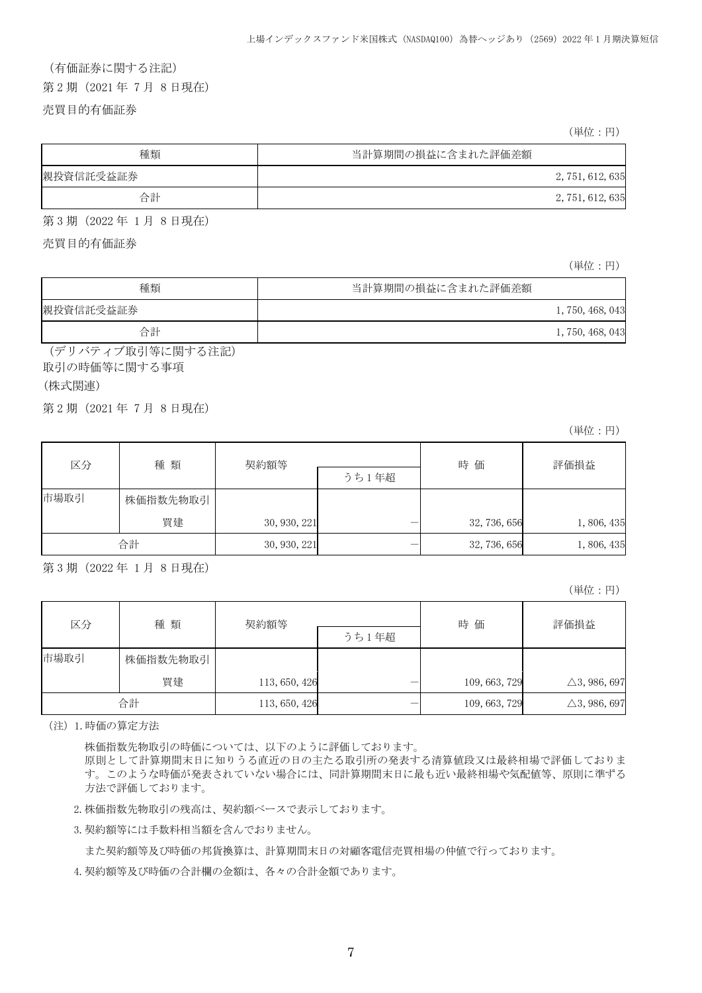# (有価証券に関する注記) 第 2 期(2021 年 7 月 8 日現在)

売買目的有価証券

(単位:円)

| 種類        | 当計算期間の損益に含まれた評価差額 |
|-----------|-------------------|
| 親投資信託受益証券 | 2, 751, 612, 635  |
| 合計        | 2, 751, 612, 635  |

第 3 期(2022 年 1 月 8 日現在)

売買目的有価証券

(単位:円)

| 種類        | 当計算期間の損益に含まれた評価差額 |
|-----------|-------------------|
| 親投資信託受益証券 | 1, 750, 468, 043  |
| 合計        | 1, 750, 468, 043  |

(デリバティブ取引等に関する注記) 取引の時価等に関する事項

(株式関連)

j.

第 2 期(2021 年 7 月 8 日現在)

(単位:円)

| 種類<br>区分 |          | 契約額等         |  | 時 価          | 評価損益      |
|----------|----------|--------------|--|--------------|-----------|
|          |          | うち1年超        |  |              |           |
| 市場取引     | 株価指数先物取引 |              |  |              |           |
|          | 買建       | 30, 930, 221 |  | 32, 736, 656 | 1,806,435 |
|          | 合計       | 30, 930, 221 |  | 32, 736, 656 | 1,806,435 |

第 3 期(2022 年 1 月 8 日現在)

(単位:円)

| 区分   |          | 契約額等<br>種類    |       | 時価            | 評価損益                    |
|------|----------|---------------|-------|---------------|-------------------------|
|      |          |               | うち1年超 |               |                         |
| 市場取引 | 株価指数先物取引 |               |       |               |                         |
|      | 買建       | 113, 650, 426 |       | 109, 663, 729 | $\triangle$ 3, 986, 697 |
|      | 合計       | 113, 650, 426 |       | 109, 663, 729 | $\triangle$ 3, 986, 697 |

(注)1.時価の算定方法

株価指数先物取引の時価については、以下のように評価しております。

原則として計算期間末日に知りうる直近の日の主たる取引所の発表する清算値段又は最終相場で評価しておりま す。このような時価が発表されていない場合には、同計算期間末日に最も近い最終相場や気配値等、原則に準ずる 方法で評価しております。

2.株価指数先物取引の残高は、契約額ベースで表示しております。

3.契約額等には手数料相当額を含んでおりません。

また契約額等及び時価の邦貨換算は、計算期間末日の対顧客電信売買相場の仲値で行っております。

4.契約額等及び時価の合計欄の金額は、各々の合計金額であります。